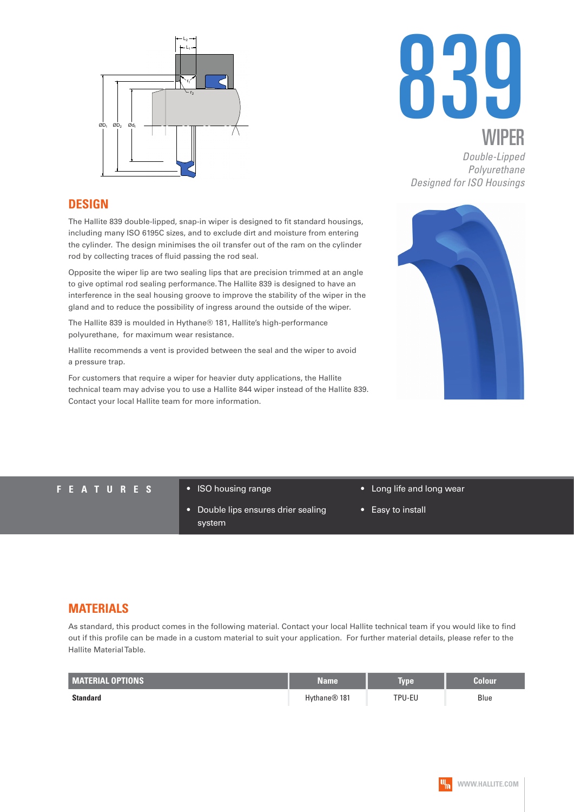



*Double-Lipped Polyurethane Designed for ISO Housings*

### **DESIGN**

The Hallite 839 double-lipped, snap-in wiper is designed to fit standard housings, including many ISO 6195C sizes, and to exclude dirt and moisture from entering the cylinder. The design minimises the oil transfer out of the ram on the cylinder rod by collecting traces of fluid passing the rod seal.

Opposite the wiper lip are two sealing lips that are precision trimmed at an angle to give optimal rod sealing performance. The Hallite 839 is designed to have an interference in the seal housing groove to improve the stability of the wiper in the gland and to reduce the possibility of ingress around the outside of the wiper.

The Hallite 839 is moulded in Hythane® 181, Hallite's high-performance polyurethane, for maximum wear resistance.

Hallite recommends a vent is provided between the seal and the wiper to avoid a pressure trap.

For customers that require a wiper for heavier duty applications, the Hallite technical team may advise you to use a Hallite 844 wiper instead of the Hallite 839. Contact your local Hallite team for more information.



#### **FEATURES** • ISO housing range

- 
- Double lips ensures drier sealing system
- Long life and long wear
- Easy to install

### **MATERIALS**

As standard, this product comes in the following material. Contact your local Hallite technical team if you would like to find out if this profile can be made in a custom material to suit your application. For further material details, please refer to the Hallite Material Table.

| <b>MATERIAL OPTIONS</b> | <b>Name</b>              | <b>Type</b> | Colour |
|-------------------------|--------------------------|-------------|--------|
| Standard                | Hythane <sup>®</sup> 181 | TPU-EU      | Blue   |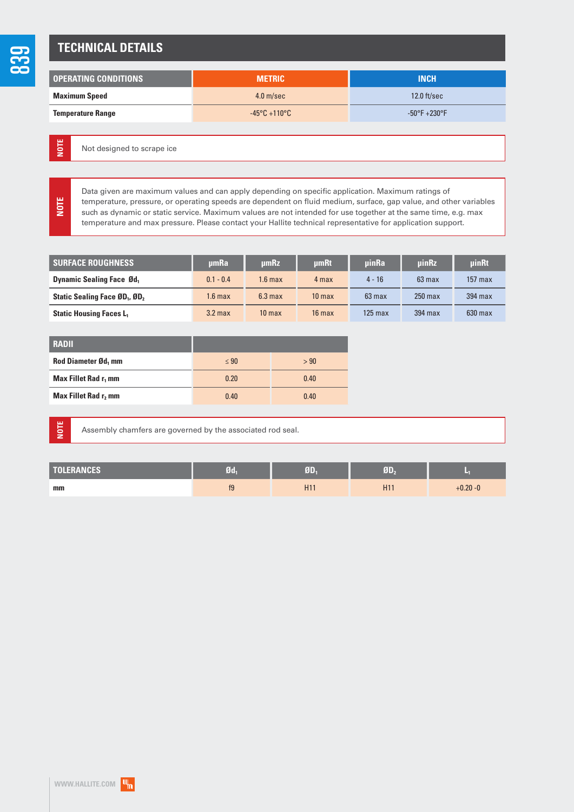### **TECHNICAL DETAILS**

| <b>OPERATING CONDITIONS</b> | <b>METRIC</b>                     | <b>INCH</b>                      |
|-----------------------------|-----------------------------------|----------------------------------|
| <b>Maximum Speed</b>        | $4.0$ m/sec                       | $12.0$ ft/sec                    |
| <b>Temperature Range</b>    | $-45^{\circ}$ C +110 $^{\circ}$ C | $-50^{\circ}$ F $+230^{\circ}$ F |

Not designed to scrape ice **NOTE**

> Data given are maximum values and can apply depending on specific application. Maximum ratings of temperature, pressure, or operating speeds are dependent on fluid medium, surface, gap value, and other variables such as dynamic or static service. Maximum values are not intended for use together at the same time, e.g. max temperature and max pressure. Please contact your Hallite technical representative for application support.

| <b>SURFACE ROUGHNESS</b>                              | umRa               | umRz               | umRt              | <b>uinRa</b> | <b>uinRz</b> | uinRt     |
|-------------------------------------------------------|--------------------|--------------------|-------------------|--------------|--------------|-----------|
| <b>Dynamic Sealing Face Ød</b>                        | $0.1 - 0.4$        | 1.6 max            | 4 max             | $4 - 16$     | $63$ max     | $157$ max |
| Static Sealing Face ØD <sub>1</sub> , ØD <sub>2</sub> | $1.6 \text{ max}$  | 6.3 <sub>max</sub> | 10 <sub>max</sub> | $63$ max     | $250$ max    | $394$ max |
| <b>Static Housing Faces L1</b>                        | 3.2 <sub>max</sub> | 10 <sub>max</sub>  | $16$ max          | $125$ max    | 394 max      | $630$ max |

| <b>RADII</b>                     |           |      |
|----------------------------------|-----------|------|
| Rod Diameter Ød, mm              | $\leq 90$ | > 90 |
| Max Fillet Rad r <sub>1</sub> mm | 0.20      | 0.40 |
| Max Fillet Rad r, mm             | 0.40      | 0.40 |

**NOTE**

**NOTE**

Assembly chamfers are governed by the associated rod seal.

| <b>TOLERANCES</b> | $Jd_1$ | T               |                 |             |
|-------------------|--------|-----------------|-----------------|-------------|
| mm                | f9     | H <sub>11</sub> | H <sub>11</sub> | $+0.20 - 0$ |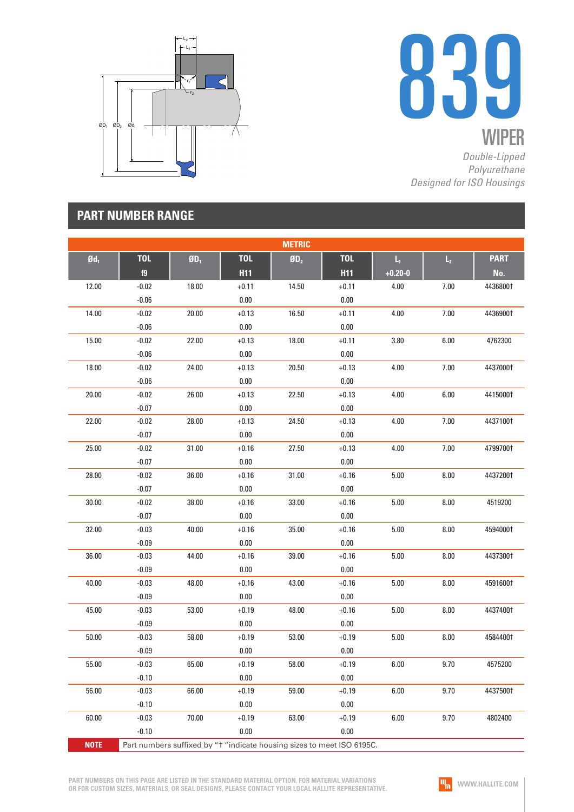



*Double-Lipped Polyurethane Designed for ISO Housings*

## **PART NUMBER RANGE**

|                                                                                       |            |                          |            | <b>METRIC</b>   |            |             |                |             |
|---------------------------------------------------------------------------------------|------------|--------------------------|------------|-----------------|------------|-------------|----------------|-------------|
| $\mathbf{0d}_1$                                                                       | <b>TOL</b> | $\mathbf{0}\mathbf{D}_1$ | <b>TOL</b> | ØD <sub>2</sub> | <b>TOL</b> | Ц.          | $\mathsf{L}_2$ | <b>PART</b> |
|                                                                                       | f9         |                          | <b>H11</b> |                 | <b>H11</b> | $+0.20 - 0$ |                | No.         |
| 12.00                                                                                 | $-0.02$    | 18.00                    | $+0.11$    | 14.50           | $+0.11$    | 4.00        | $7.00$         | 4436800†    |
|                                                                                       | $-0.06$    |                          | $0.00\,$   |                 | $0.00\,$   |             |                |             |
| 14.00                                                                                 | $-0.02$    | 20.00                    | $+0.13$    | 16.50           | $+0.11$    | 4.00        | $7.00$         | 4436900†    |
|                                                                                       | $-0.06$    |                          | $0.00\,$   |                 | $0.00\,$   |             |                |             |
| 15.00                                                                                 | $-0.02$    | 22.00                    | $+0.13$    | 18.00           | $+0.11$    | 3.80        | 6.00           | 4762300     |
|                                                                                       | $-0.06$    |                          | $0.00\,$   |                 | $0.00\,$   |             |                |             |
| 18.00                                                                                 | $-0.02$    | 24.00                    | $+0.13$    | 20.50           | $+0.13$    | 4.00        | 7.00           | 44370001    |
|                                                                                       | $-0.06$    |                          | $0.00\,$   |                 | 0.00       |             |                |             |
| 20.00                                                                                 | $-0.02$    | 26.00                    | $+0.13$    | 22.50           | $+0.13$    | 4.00        | 6.00           | 4415000†    |
|                                                                                       | $-0.07$    |                          | $0.00\,$   |                 | $0.00\,$   |             |                |             |
| 22.00                                                                                 | $-0.02$    | 28.00                    | $+0.13$    | 24.50           | $+0.13$    | 4.00        | 7.00           | 44371001    |
|                                                                                       | $-0.07$    |                          | $0.00\,$   |                 | $0.00\,$   |             |                |             |
| 25.00                                                                                 | $-0.02$    | 31.00                    | $+0.16$    | 27.50           | $+0.13$    | 4.00        | $7.00$         | 4799700†    |
|                                                                                       | $-0.07$    |                          | $0.00\,$   |                 | 0.00       |             |                |             |
| 28.00                                                                                 | $-0.02$    | 36.00                    | $+0.16$    | 31.00           | $+0.16$    | $5.00\,$    | $8.00\,$       | 44372001    |
|                                                                                       | $-0.07$    |                          | $0.00\,$   |                 | 0.00       |             |                |             |
| 30.00                                                                                 | $-0.02$    | 38.00                    | $+0.16$    | 33.00           | $+0.16$    | 5.00        | 8.00           | 4519200     |
|                                                                                       | $-0.07$    |                          | $0.00\,$   |                 | $0.00\,$   |             |                |             |
| 32.00                                                                                 | $-0.03$    | 40.00                    | $+0.16$    | 35.00           | $+0.16$    | 5.00        | $8.00\,$       | 4594000†    |
|                                                                                       | $-0.09$    |                          | $0.00\,$   |                 | 0.00       |             |                |             |
| 36.00                                                                                 | $-0.03$    | 44.00                    | $+0.16$    | 39.00           | $+0.16$    | $5.00\,$    | $8.00\,$       | 44373001    |
|                                                                                       | $-0.09$    |                          | $0.00\,$   |                 | 0.00       |             |                |             |
| 40.00                                                                                 | $-0.03$    | 48.00                    | $+0.16$    | 43.00           | $+0.16$    | 5.00        | 8.00           | 4591600†    |
|                                                                                       | $-0.09$    |                          | $0.00\,$   |                 | 0.00       |             |                |             |
| 45.00                                                                                 | $-0.03$    | 53.00                    | $+0.19$    | 48.00           | $+0.16$    | 5.00        | $8.00\,$       | 44374001    |
|                                                                                       | $-0.09$    |                          | $0.00\,$   |                 | 0.00       |             |                |             |
| 50.00                                                                                 | $-0.03$    | 58.00                    | $+0.19$    | 53.00           | $+0.19$    | $5.00\,$    | 8.00           | 45844001    |
|                                                                                       | $-0.09$    |                          | $0.00\,$   |                 | $0.00\,$   |             |                |             |
| 55.00                                                                                 | $-0.03$    | 65.00                    | $+0.19$    | 58.00           | $+0.19$    | $6.00\,$    | 9.70           | 4575200     |
|                                                                                       | $-0.10$    |                          | 0.00       |                 | 0.00       |             |                |             |
| 56.00                                                                                 | $-0.03$    | 66.00                    | $+0.19$    | 59.00           | $+0.19$    | 6.00        | 9.70           | 44375001    |
|                                                                                       | $-0.10$    |                          | 0.00       |                 | 0.00       |             |                |             |
| 60.00                                                                                 | $-0.03$    | 70.00                    | $+0.19$    | 63.00           | $+0.19$    | 6.00        | 9.70           | 4802400     |
|                                                                                       | $-0.10$    |                          | 0.00       |                 | 0.00       |             |                |             |
| <b>NOTE</b><br>Part numbers suffixed by "t "indicate housing sizes to meet ISO 6195C. |            |                          |            |                 |            |             |                |             |

**PART NUMBERS ON THIS PAGE ARE LISTED IN THE STANDARD MATERIAL OPTION. FOR MATERIAL VARIATIONS OR FOR CUSTOM SIZES, MATERIALS, OR SEAL DESIGNS, PLEASE CONTACT YOUR LOCAL HALLITE REPRESENTATIVE.**